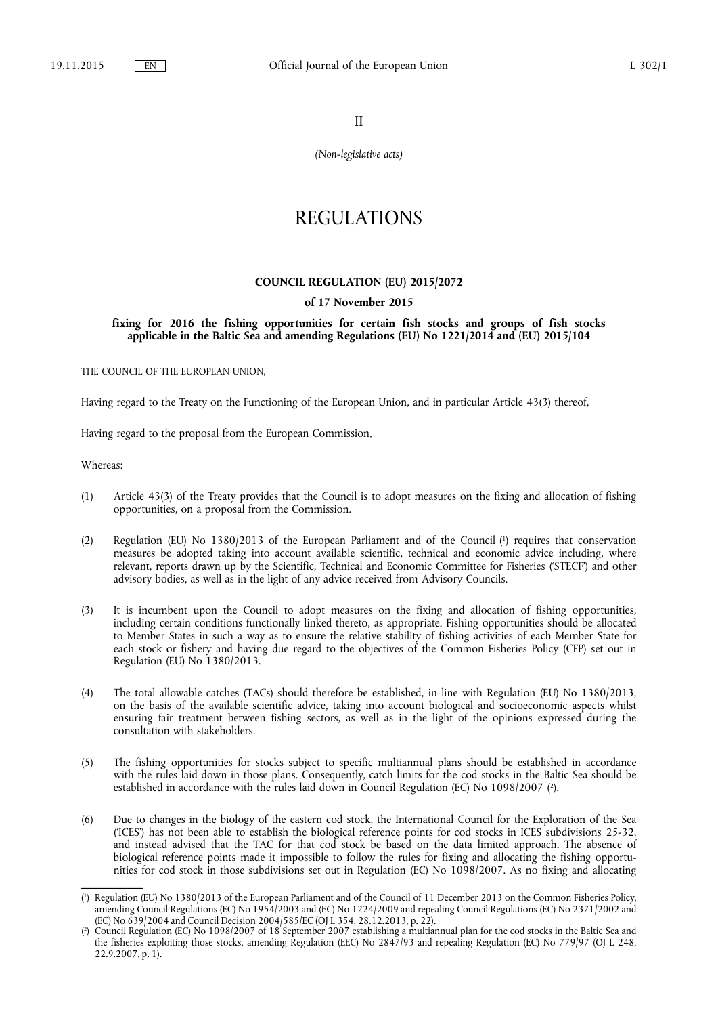II

*(Non-legislative acts)* 

# REGULATIONS

# **COUNCIL REGULATION (EU) 2015/2072**

# **of 17 November 2015**

**fixing for 2016 the fishing opportunities for certain fish stocks and groups of fish stocks applicable in the Baltic Sea and amending Regulations (EU) No 1221/2014 and (EU) 2015/104** 

THE COUNCIL OF THE EUROPEAN UNION,

Having regard to the Treaty on the Functioning of the European Union, and in particular Article 43(3) thereof,

Having regard to the proposal from the European Commission,

Whereas:

- (1) Article 43(3) of the Treaty provides that the Council is to adopt measures on the fixing and allocation of fishing opportunities, on a proposal from the Commission.
- (2) Regulation (EU) No 1380/2013 of the European Parliament and of the Council ( 1 ) requires that conservation measures be adopted taking into account available scientific, technical and economic advice including, where relevant, reports drawn up by the Scientific, Technical and Economic Committee for Fisheries ('STECF') and other advisory bodies, as well as in the light of any advice received from Advisory Councils.
- (3) It is incumbent upon the Council to adopt measures on the fixing and allocation of fishing opportunities, including certain conditions functionally linked thereto, as appropriate. Fishing opportunities should be allocated to Member States in such a way as to ensure the relative stability of fishing activities of each Member State for each stock or fishery and having due regard to the objectives of the Common Fisheries Policy (CFP) set out in Regulation (EU) No 1380/2013.
- (4) The total allowable catches (TACs) should therefore be established, in line with Regulation (EU) No 1380/2013, on the basis of the available scientific advice, taking into account biological and socioeconomic aspects whilst ensuring fair treatment between fishing sectors, as well as in the light of the opinions expressed during the consultation with stakeholders.
- (5) The fishing opportunities for stocks subject to specific multiannual plans should be established in accordance with the rules laid down in those plans. Consequently, catch limits for the cod stocks in the Baltic Sea should be established in accordance with the rules laid down in Council Regulation (EC) No 1098/2007 (?).
- (6) Due to changes in the biology of the eastern cod stock, the International Council for the Exploration of the Sea ('ICES') has not been able to establish the biological reference points for cod stocks in ICES subdivisions 25-32, and instead advised that the TAC for that cod stock be based on the data limited approach. The absence of biological reference points made it impossible to follow the rules for fixing and allocating the fishing opportunities for cod stock in those subdivisions set out in Regulation (EC) No 1098/2007. As no fixing and allocating

<sup>(</sup> 1 ) Regulation (EU) No 1380/2013 of the European Parliament and of the Council of 11 December 2013 on the Common Fisheries Policy, amending Council Regulations (EC) No 1954/2003 and (EC) No 1224/2009 and repealing Council Regulations (EC) No 2371/2002 and (EC) No 639/2004 and Council Decision 2004/585/EC (OJ L 354, 28.12.2013, p. 22).

<sup>(</sup> 2 ) Council Regulation (EC) No 1098/2007 of 18 September 2007 establishing a multiannual plan for the cod stocks in the Baltic Sea and the fisheries exploiting those stocks, amending Regulation (EEC) No 2847/93 and repealing Regulation (EC) No 779/97 (OJ L 248, 22.9.2007, p. 1).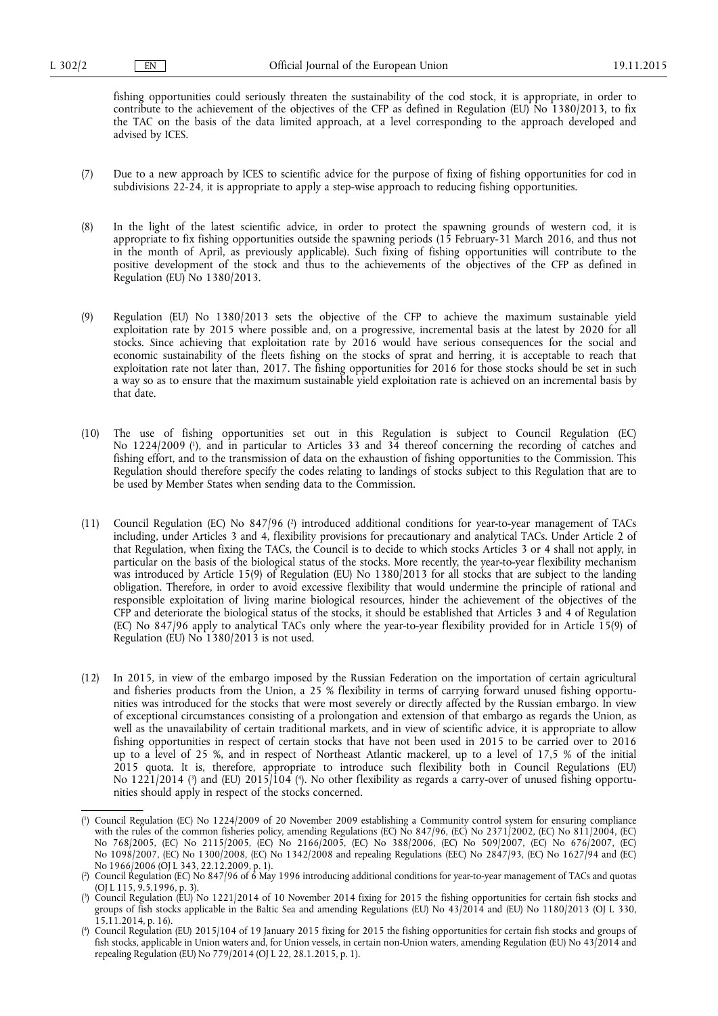fishing opportunities could seriously threaten the sustainability of the cod stock, it is appropriate, in order to contribute to the achievement of the objectives of the CFP as defined in Regulation (EU) No 1380/2013, to fix the TAC on the basis of the data limited approach, at a level corresponding to the approach developed and advised by ICES.

- (7) Due to a new approach by ICES to scientific advice for the purpose of fixing of fishing opportunities for cod in subdivisions 22-24, it is appropriate to apply a step-wise approach to reducing fishing opportunities.
- (8) In the light of the latest scientific advice, in order to protect the spawning grounds of western cod, it is appropriate to fix fishing opportunities outside the spawning periods (15 February-31 March 2016, and thus not in the month of April, as previously applicable). Such fixing of fishing opportunities will contribute to the positive development of the stock and thus to the achievements of the objectives of the CFP as defined in Regulation (EU) No 1380/2013.
- (9) Regulation (EU) No 1380/2013 sets the objective of the CFP to achieve the maximum sustainable yield exploitation rate by 2015 where possible and, on a progressive, incremental basis at the latest by 2020 for all stocks. Since achieving that exploitation rate by 2016 would have serious consequences for the social and economic sustainability of the fleets fishing on the stocks of sprat and herring, it is acceptable to reach that exploitation rate not later than, 2017. The fishing opportunities for 2016 for those stocks should be set in such a way so as to ensure that the maximum sustainable yield exploitation rate is achieved on an incremental basis by that date.
- (10) The use of fishing opportunities set out in this Regulation is subject to Council Regulation (EC) No 1224/2009 ( 1 ), and in particular to Articles 33 and 34 thereof concerning the recording of catches and fishing effort, and to the transmission of data on the exhaustion of fishing opportunities to the Commission. This Regulation should therefore specify the codes relating to landings of stocks subject to this Regulation that are to be used by Member States when sending data to the Commission.
- (11) Council Regulation (EC) No 847/96 (<sup>2</sup>) introduced additional conditions for year-to-year management of TACs including, under Articles 3 and 4, flexibility provisions for precautionary and analytical TACs. Under Article 2 of that Regulation, when fixing the TACs, the Council is to decide to which stocks Articles 3 or 4 shall not apply, in particular on the basis of the biological status of the stocks. More recently, the year-to-year flexibility mechanism was introduced by Article 15(9) of Regulation (EU) No 1380/2013 for all stocks that are subject to the landing obligation. Therefore, in order to avoid excessive flexibility that would undermine the principle of rational and responsible exploitation of living marine biological resources, hinder the achievement of the objectives of the CFP and deteriorate the biological status of the stocks, it should be established that Articles 3 and 4 of Regulation (EC) No 847/96 apply to analytical TACs only where the year-to-year flexibility provided for in Article 15(9) of Regulation (EU) No 1380/2013 is not used.
- (12) In 2015, in view of the embargo imposed by the Russian Federation on the importation of certain agricultural and fisheries products from the Union, a 25 % flexibility in terms of carrying forward unused fishing opportunities was introduced for the stocks that were most severely or directly affected by the Russian embargo. In view of exceptional circumstances consisting of a prolongation and extension of that embargo as regards the Union, as well as the unavailability of certain traditional markets, and in view of scientific advice, it is appropriate to allow fishing opportunities in respect of certain stocks that have not been used in 2015 to be carried over to 2016 up to a level of 25 %, and in respect of Northeast Atlantic mackerel, up to a level of 17,5 % of the initial 2015 quota. It is, therefore, appropriate to introduce such flexibility both in Council Regulations (EU) No 1221/2014 ( 3 ) and (EU) 2015/104 ( 4 ). No other flexibility as regards a carry-over of unused fishing opportunities should apply in respect of the stocks concerned.

<sup>(</sup> 1 ) Council Regulation (EC) No 1224/2009 of 20 November 2009 establishing a Community control system for ensuring compliance with the rules of the common fisheries policy, amending Regulations (EC) No 847/96, (EC) No 2371/2002, (EC) No 811/2004, (EC) No 768/2005, (EC) No 2115/2005, (EC) No 2166/2005, (EC) No 388/2006, (EC) No 509/2007, (EC) No 676/2007, (EC) No 1098/2007, (EC) No 1300/2008, (EC) No 1342/2008 and repealing Regulations (EEC) No 2847/93, (EC) No 1627/94 and (EC) No 1966/2006 (OJ L 343, 22.12.2009, p. 1).

<sup>(</sup> 2 ) Council Regulation (EC) No 847/96 of 6 May 1996 introducing additional conditions for year-to-year management of TACs and quotas (OJ L 115, 9.5.1996, p. 3).

<sup>(</sup> 3 ) Council Regulation (EU) No 1221/2014 of 10 November 2014 fixing for 2015 the fishing opportunities for certain fish stocks and groups of fish stocks applicable in the Baltic Sea and amending Regulations (EU) No 43/2014 and (EU) No 1180/2013 (OJ L 330,  $15.11.2014$ , p. 16).

<sup>(</sup> 4 ) Council Regulation (EU) 2015/104 of 19 January 2015 fixing for 2015 the fishing opportunities for certain fish stocks and groups of fish stocks, applicable in Union waters and, for Union vessels, in certain non-Union waters, amending Regulation (EU) No 43/2014 and repealing Regulation (EU) No 779/2014 (OJ L 22, 28.1.2015, p. 1).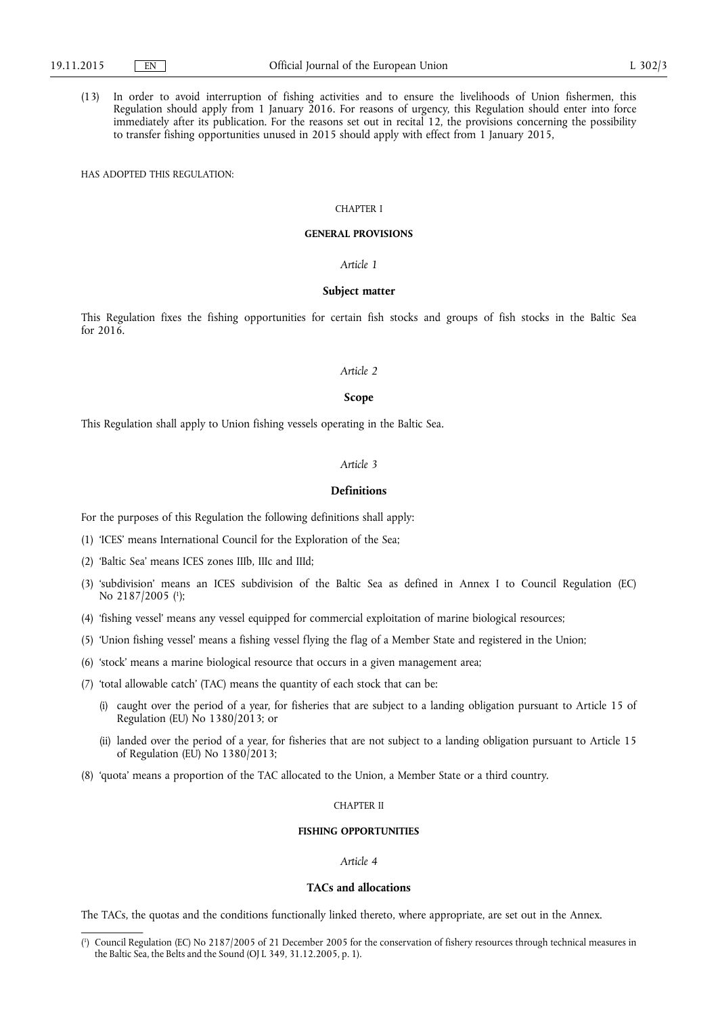(13) In order to avoid interruption of fishing activities and to ensure the livelihoods of Union fishermen, this Regulation should apply from 1 January 2016. For reasons of urgency, this Regulation should enter into force immediately after its publication. For the reasons set out in recital 12, the provisions concerning the possibility to transfer fishing opportunities unused in 2015 should apply with effect from 1 January 2015,

HAS ADOPTED THIS REGULATION:

# CHAPTER I

#### **GENERAL PROVISIONS**

#### *Article 1*

#### **Subject matter**

This Regulation fixes the fishing opportunities for certain fish stocks and groups of fish stocks in the Baltic Sea for 2016.

#### *Article 2*

#### **Scope**

This Regulation shall apply to Union fishing vessels operating in the Baltic Sea.

#### *Article 3*

#### **Definitions**

For the purposes of this Regulation the following definitions shall apply:

- (1) 'ICES' means International Council for the Exploration of the Sea;
- (2) 'Baltic Sea' means ICES zones IIIb, IIIc and IIId;
- (3) 'subdivision' means an ICES subdivision of the Baltic Sea as defined in Annex I to Council Regulation (EC) No 2187/2005 ( 1 );
- (4) 'fishing vessel' means any vessel equipped for commercial exploitation of marine biological resources;
- (5) 'Union fishing vessel' means a fishing vessel flying the flag of a Member State and registered in the Union;
- (6) 'stock' means a marine biological resource that occurs in a given management area;
- (7) 'total allowable catch' (TAC) means the quantity of each stock that can be:
	- (i) caught over the period of a year, for fisheries that are subject to a landing obligation pursuant to Article 15 of Regulation (EU) No 1380/2013; or
	- (ii) landed over the period of a year, for fisheries that are not subject to a landing obligation pursuant to Article 15 of Regulation (EU) No 1380/2013;
- (8) 'quota' means a proportion of the TAC allocated to the Union, a Member State or a third country.

#### CHAPTER II

# **FISHING OPPORTUNITIES**

#### *Article 4*

#### **TACs and allocations**

The TACs, the quotas and the conditions functionally linked thereto, where appropriate, are set out in the Annex.

<sup>(</sup> 1 ) Council Regulation (EC) No 2187/2005 of 21 December 2005 for the conservation of fishery resources through technical measures in the Baltic Sea, the Belts and the Sound (OJ L 349, 31.12.2005, p. 1).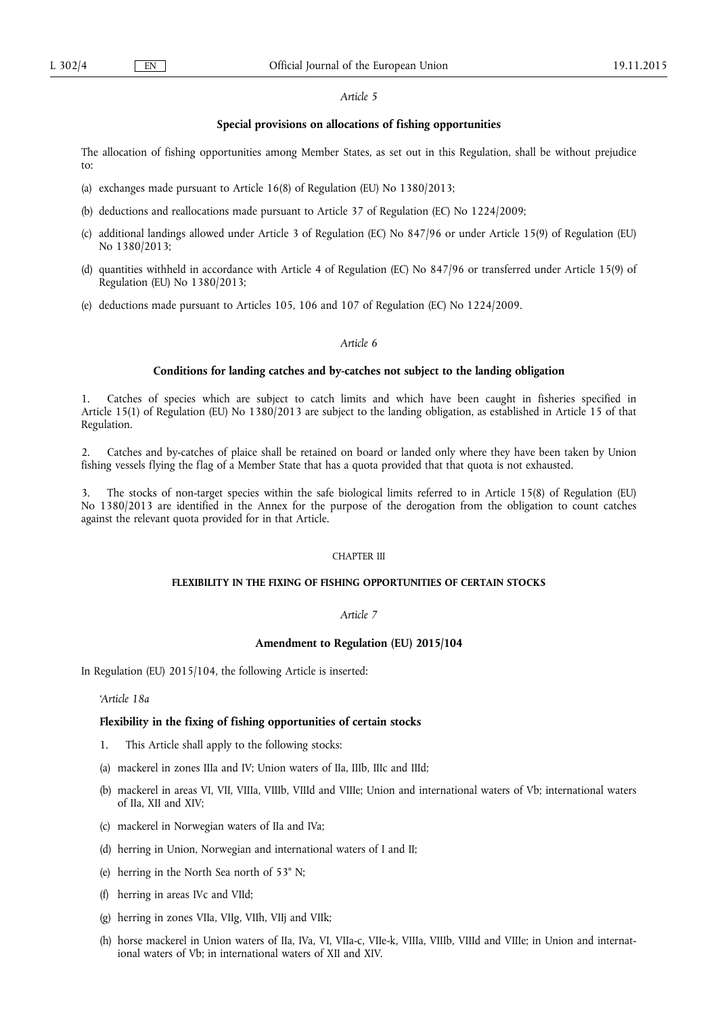## *Article 5*

# **Special provisions on allocations of fishing opportunities**

The allocation of fishing opportunities among Member States, as set out in this Regulation, shall be without prejudice to:

- (a) exchanges made pursuant to Article 16(8) of Regulation (EU) No 1380/2013;
- (b) deductions and reallocations made pursuant to Article 37 of Regulation (EC) No 1224/2009;
- (c) additional landings allowed under Article 3 of Regulation (EC) No 847/96 or under Article 15(9) of Regulation (EU) No 1380/2013;
- (d) quantities withheld in accordance with Article 4 of Regulation (EC) No 847/96 or transferred under Article 15(9) of Regulation (EU) No 1380/2013;
- (e) deductions made pursuant to Articles 105, 106 and 107 of Regulation (EC) No 1224/2009.

# *Article 6*

# **Conditions for landing catches and by-catches not subject to the landing obligation**

1. Catches of species which are subject to catch limits and which have been caught in fisheries specified in Article 15(1) of Regulation (EU) No 1380/2013 are subject to the landing obligation, as established in Article 15 of that Regulation.

2. Catches and by-catches of plaice shall be retained on board or landed only where they have been taken by Union fishing vessels flying the flag of a Member State that has a quota provided that that quota is not exhausted.

3. The stocks of non-target species within the safe biological limits referred to in Article 15(8) of Regulation (EU) No 1380/2013 are identified in the Annex for the purpose of the derogation from the obligation to count catches against the relevant quota provided for in that Article.

# CHAPTER III

#### **FLEXIBILITY IN THE FIXING OF FISHING OPPORTUNITIES OF CERTAIN STOCKS**

# *Article 7*

# **Amendment to Regulation (EU) 2015/104**

In Regulation (EU) 2015/104, the following Article is inserted:

*'Article 18a* 

# **Flexibility in the fixing of fishing opportunities of certain stocks**

- 1. This Article shall apply to the following stocks:
- (a) mackerel in zones IIIa and IV; Union waters of IIa, IIIb, IIIc and IIId;
- (b) mackerel in areas VI, VII, VIIIa, VIIIb, VIIId and VIIIe; Union and international waters of Vb; international waters of IIa, XII and XIV;
- (c) mackerel in Norwegian waters of IIa and IVa;
- (d) herring in Union, Norwegian and international waters of I and II;
- (e) herring in the North Sea north of 53° N;
- (f) herring in areas IVc and VIId;
- (g) herring in zones VIIa, VIIg, VIIh, VIIj and VIIk;
- (h) horse mackerel in Union waters of IIa, IVa, VI, VIIa-c, VIIe-k, VIIIa, VIIIb, VIIId and VIIIe; in Union and international waters of Vb; in international waters of XII and XIV.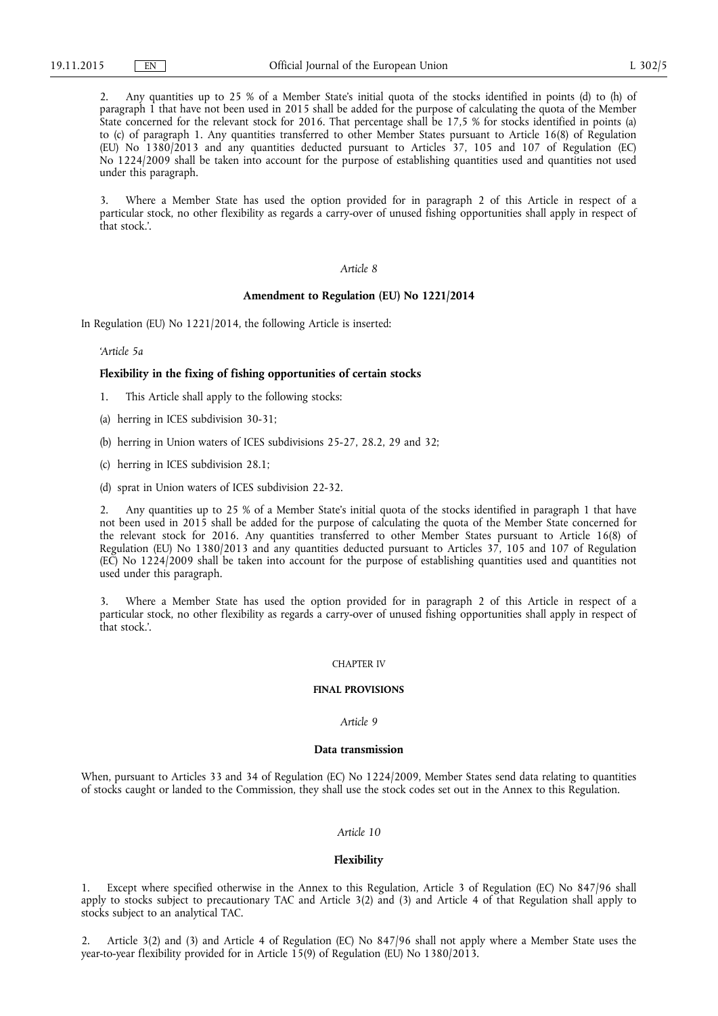2. Any quantities up to 25 % of a Member State's initial quota of the stocks identified in points (d) to (h) of paragraph 1 that have not been used in 2015 shall be added for the purpose of calculating the quota of the Member State concerned for the relevant stock for 2016. That percentage shall be 17,5 % for stocks identified in points (a) to (c) of paragraph 1. Any quantities transferred to other Member States pursuant to Article 16(8) of Regulation (EU) No 1380/2013 and any quantities deducted pursuant to Articles 37, 105 and 107 of Regulation (EC) No 1224/2009 shall be taken into account for the purpose of establishing quantities used and quantities not used under this paragraph.

3. Where a Member State has used the option provided for in paragraph 2 of this Article in respect of a particular stock, no other flexibility as regards a carry-over of unused fishing opportunities shall apply in respect of that stock.'.

# *Article 8*

# **Amendment to Regulation (EU) No 1221/2014**

In Regulation (EU) No 1221/2014, the following Article is inserted:

*'Article 5a* 

#### **Flexibility in the fixing of fishing opportunities of certain stocks**

1. This Article shall apply to the following stocks:

- (a) herring in ICES subdivision 30-31;
- (b) herring in Union waters of ICES subdivisions 25-27, 28.2, 29 and 32;
- (c) herring in ICES subdivision 28.1;
- (d) sprat in Union waters of ICES subdivision 22-32.

2. Any quantities up to 25 % of a Member State's initial quota of the stocks identified in paragraph 1 that have not been used in 2015 shall be added for the purpose of calculating the quota of the Member State concerned for the relevant stock for 2016. Any quantities transferred to other Member States pursuant to Article 16(8) of Regulation (EU) No 1380/2013 and any quantities deducted pursuant to Articles 37, 105 and 107 of Regulation (EC) No 1224/2009 shall be taken into account for the purpose of establishing quantities used and quantities not used under this paragraph.

3. Where a Member State has used the option provided for in paragraph 2 of this Article in respect of a particular stock, no other flexibility as regards a carry-over of unused fishing opportunities shall apply in respect of that stock.'.

#### CHAPTER IV

#### **FINAL PROVISIONS**

# *Article 9*

# **Data transmission**

When, pursuant to Articles 33 and 34 of Regulation (EC) No 1224/2009, Member States send data relating to quantities of stocks caught or landed to the Commission, they shall use the stock codes set out in the Annex to this Regulation.

#### *Article 10*

#### **Flexibility**

1. Except where specified otherwise in the Annex to this Regulation, Article 3 of Regulation (EC) No 847/96 shall apply to stocks subject to precautionary TAC and Article 3(2) and (3) and Article 4 of that Regulation shall apply to stocks subject to an analytical TAC.

2. Article 3(2) and (3) and Article 4 of Regulation (EC) No 847/96 shall not apply where a Member State uses the year-to-year flexibility provided for in Article 15(9) of Regulation (EU) No 1380/2013.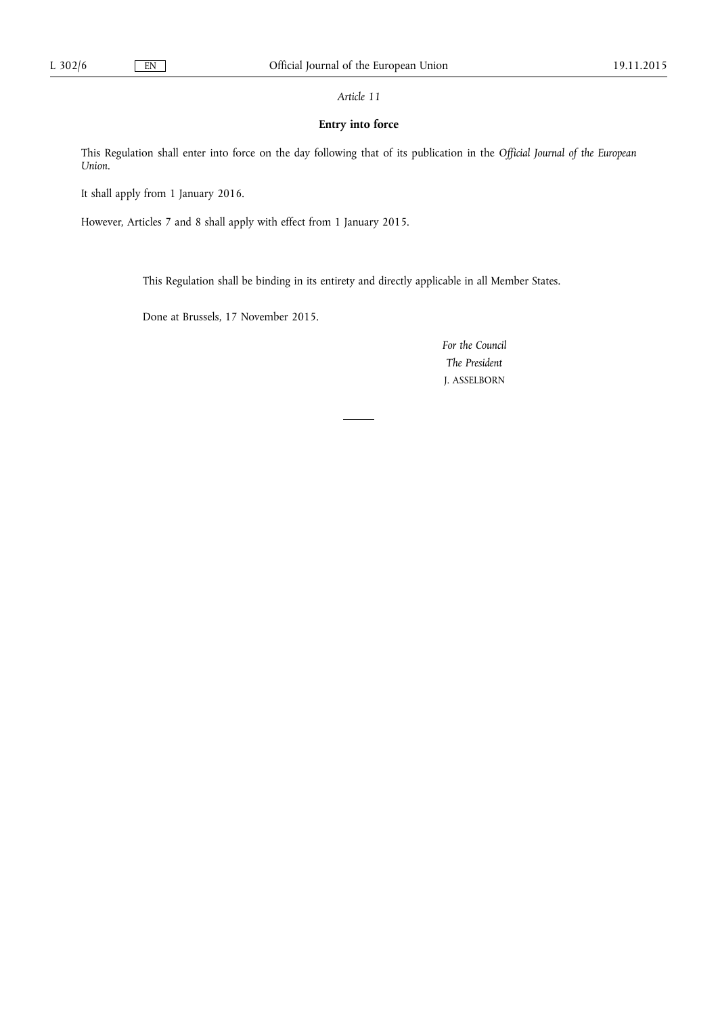# *Article 11*

# **Entry into force**

This Regulation shall enter into force on the day following that of its publication in the *Official Journal of the European Union*.

It shall apply from 1 January 2016.

However, Articles 7 and 8 shall apply with effect from 1 January 2015.

This Regulation shall be binding in its entirety and directly applicable in all Member States.

Done at Brussels, 17 November 2015.

*For the Council The President*  J. ASSELBORN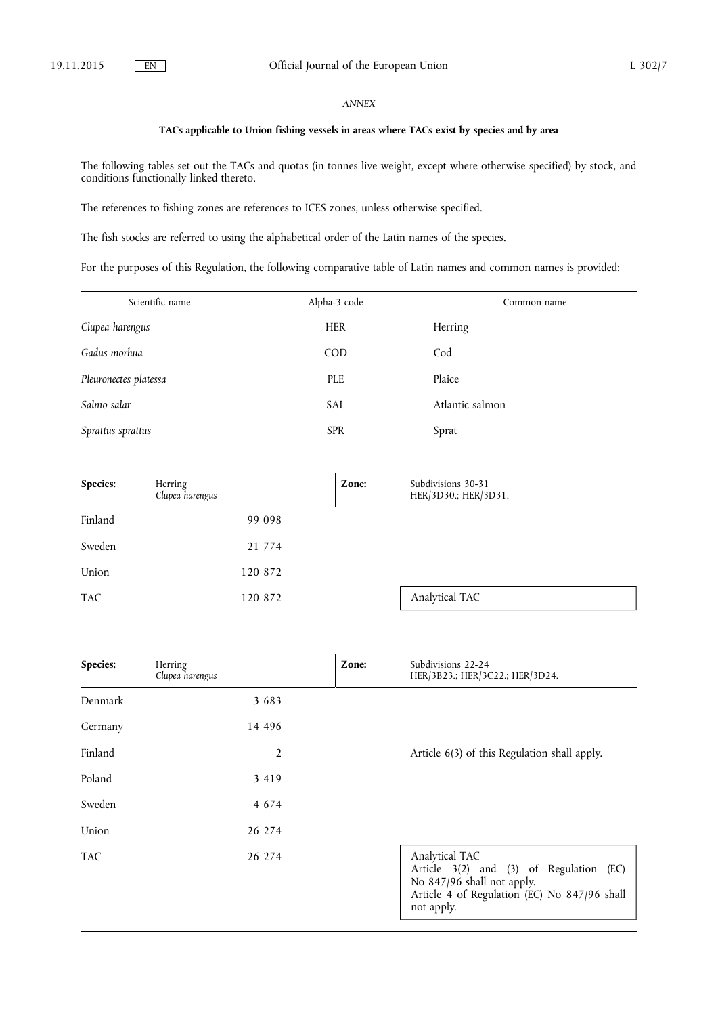# *ANNEX*

# **TACs applicable to Union fishing vessels in areas where TACs exist by species and by area**

The following tables set out the TACs and quotas (in tonnes live weight, except where otherwise specified) by stock, and conditions functionally linked thereto.

The references to fishing zones are references to ICES zones, unless otherwise specified.

The fish stocks are referred to using the alphabetical order of the Latin names of the species.

For the purposes of this Regulation, the following comparative table of Latin names and common names is provided:

| Scientific name       | Alpha-3 code | Common name     |
|-----------------------|--------------|-----------------|
| Clupea harengus       | <b>HER</b>   | Herring         |
| Gadus morhua          | COD          | Cod             |
| Pleuronectes platessa | PLE          | Plaice          |
| Salmo salar           | <b>SAL</b>   | Atlantic salmon |
| Sprattus sprattus     | <b>SPR</b>   | Sprat           |

| Species:   | Herring<br>Clupea harengus | Zone: | Subdivisions 30-31<br>HER/3D30.; HER/3D31. |
|------------|----------------------------|-------|--------------------------------------------|
| Finland    | 99 098                     |       |                                            |
| Sweden     | 21 774                     |       |                                            |
| Union      | 120 872                    |       |                                            |
| <b>TAC</b> | 120 872                    |       | Analytical TAC                             |

| Species:   | Herring<br>Clupea harengus | Zone: | Subdivisions 22-24<br>HER/3B23.; HER/3C22.; HER/3D24.                                                                                                 |
|------------|----------------------------|-------|-------------------------------------------------------------------------------------------------------------------------------------------------------|
| Denmark    | 3 6 8 3                    |       |                                                                                                                                                       |
| Germany    | 14 4 9 6                   |       |                                                                                                                                                       |
| Finland    | $\overline{2}$             |       | Article 6(3) of this Regulation shall apply.                                                                                                          |
| Poland     | 3 4 1 9                    |       |                                                                                                                                                       |
| Sweden     | 4 6 7 4                    |       |                                                                                                                                                       |
| Union      | 26 274                     |       |                                                                                                                                                       |
| <b>TAC</b> | 26 274                     |       | Analytical TAC<br>Article 3(2) and (3) of Regulation (EC)<br>No 847/96 shall not apply.<br>Article 4 of Regulation (EC) No 847/96 shall<br>not apply. |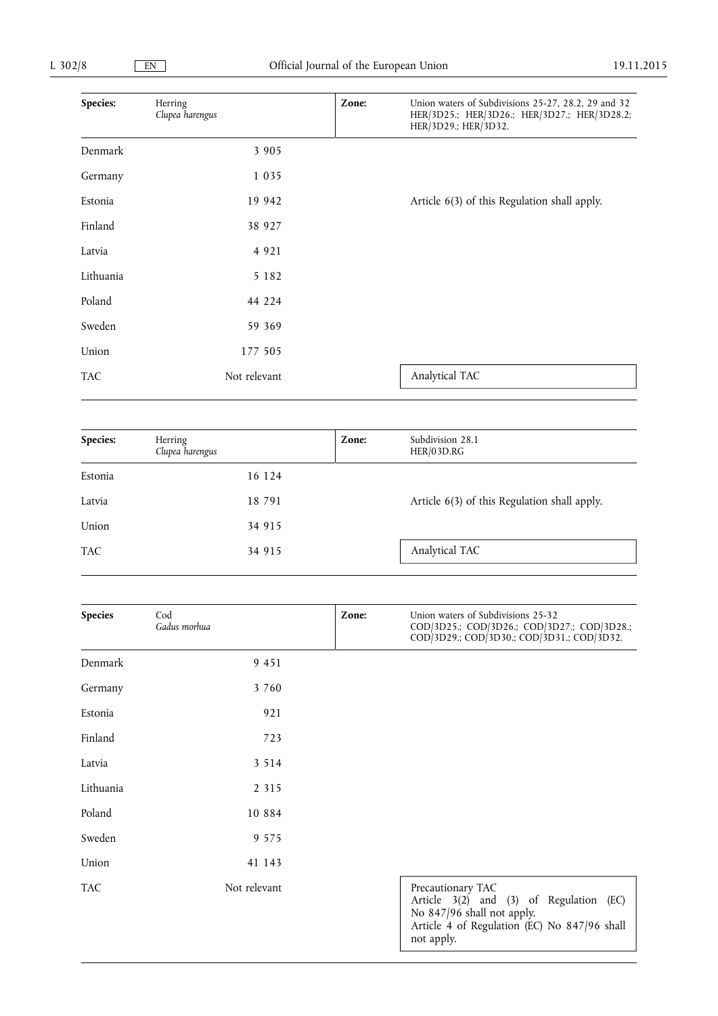| Species:   | Herring<br>Clupea harengus | Zone: | Union waters of Subdivisions 25-27, 28.2, 29 and 32<br>HER/3D25.; HER/3D26.; HER/3D27.; HER/3D28.2;<br>HER/3D29.; HER/3D32. |
|------------|----------------------------|-------|-----------------------------------------------------------------------------------------------------------------------------|
| Denmark    | 3 9 0 5                    |       |                                                                                                                             |
| Germany    | 1 0 3 5                    |       |                                                                                                                             |
| Estonia    | 19 942                     |       | Article 6(3) of this Regulation shall apply.                                                                                |
| Finland    | 38 927                     |       |                                                                                                                             |
| Latvia     | 4 9 2 1                    |       |                                                                                                                             |
| Lithuania  | 5 1 8 2                    |       |                                                                                                                             |
| Poland     | 44 224                     |       |                                                                                                                             |
| Sweden     | 59 369                     |       |                                                                                                                             |
| Union      | 177 505                    |       |                                                                                                                             |
| <b>TAC</b> | Not relevant               |       | Analytical TAC                                                                                                              |

| Species:   | Herring<br>Clupea harengus | Zone: | Subdivision 28.1<br>HER/03D.RG               |
|------------|----------------------------|-------|----------------------------------------------|
| Estonia    | 16 124                     |       |                                              |
| Latvia     | 18 791                     |       | Article 6(3) of this Regulation shall apply. |
| Union      | 34 915                     |       |                                              |
| <b>TAC</b> | 34 915                     |       | Analytical TAC                               |

| <b>Species</b> | Cod<br>Gadus morhua | Zone: | Union waters of Subdivisions 25-32<br>COD/3D25.; COD/3D26.; COD/3D27.; COD/3D28.;<br>COD/3D29.; COD/3D30.; COD/3D31.; COD/3D32.                          |
|----------------|---------------------|-------|----------------------------------------------------------------------------------------------------------------------------------------------------------|
| Denmark        | 9 4 5 1             |       |                                                                                                                                                          |
| Germany        | 3 760               |       |                                                                                                                                                          |
| Estonia        | 921                 |       |                                                                                                                                                          |
| Finland        | 723                 |       |                                                                                                                                                          |
| Latvia         | 3 5 1 4             |       |                                                                                                                                                          |
| Lithuania      | 2 3 1 5             |       |                                                                                                                                                          |
| Poland         | 10 8 8 4            |       |                                                                                                                                                          |
| Sweden         | 9 5 7 5             |       |                                                                                                                                                          |
| Union          | 41 143              |       |                                                                                                                                                          |
| <b>TAC</b>     | Not relevant        |       | Precautionary TAC<br>Article 3(2) and (3) of Regulation (EC)<br>No 847/96 shall not apply.<br>Article 4 of Regulation (EC) No 847/96 shall<br>not apply. |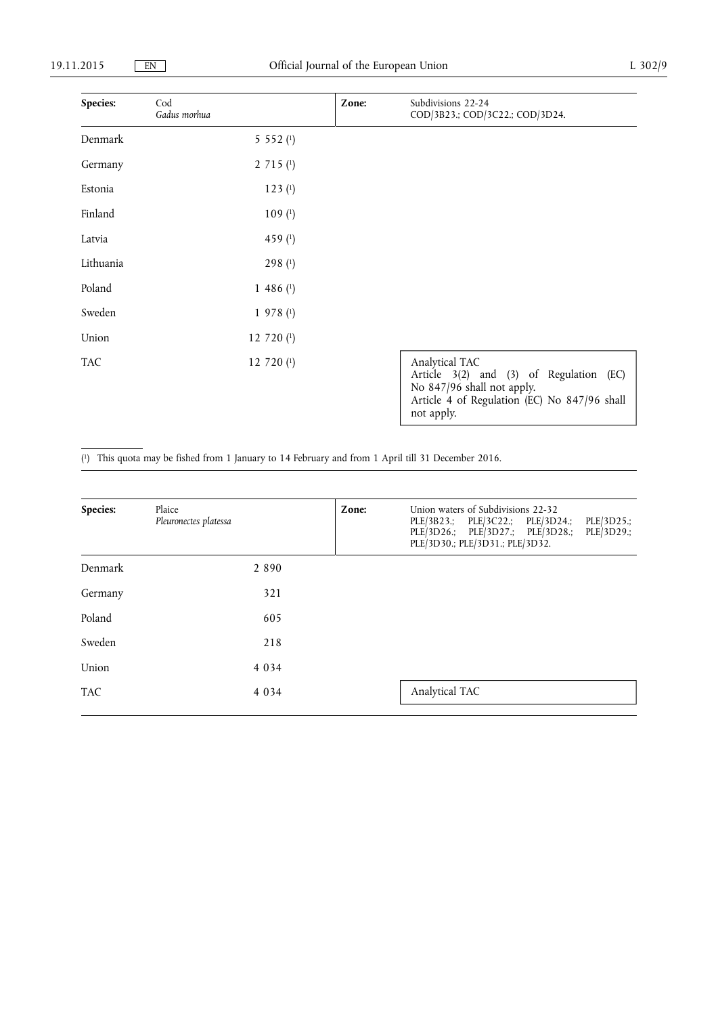| Species:   | Cod<br>Gadus morhua | Zone: | Subdivisions 22-24<br>COD/3B23.; COD/3C22.; COD/3D24.                                                                                                 |
|------------|---------------------|-------|-------------------------------------------------------------------------------------------------------------------------------------------------------|
| Denmark    | 5 5 5 2 $(1)$       |       |                                                                                                                                                       |
| Germany    | $2715$ (1)          |       |                                                                                                                                                       |
| Estonia    | 123 <sup>(1)</sup>  |       |                                                                                                                                                       |
| Finland    | 109(1)              |       |                                                                                                                                                       |
| Latvia     | 459 $(1)$           |       |                                                                                                                                                       |
| Lithuania  | 298 $(1)$           |       |                                                                                                                                                       |
| Poland     | $1486$ (1)          |       |                                                                                                                                                       |
| Sweden     | $1\,978\,(1)$       |       |                                                                                                                                                       |
| Union      | 12 720 $(1)$        |       |                                                                                                                                                       |
| <b>TAC</b> | 12 720 (1)          |       | Analytical TAC<br>Article 3(2) and (3) of Regulation (EC)<br>No 847/96 shall not apply.<br>Article 4 of Regulation (EC) No 847/96 shall<br>not apply. |

( 1) This quota may be fished from 1 January to 14 February and from 1 April till 31 December 2016.

| Species:   | Plaice<br>Pleuronectes platessa | Zone: | Union waters of Subdivisions 22-32<br>PLE/3D25.;<br>PLE/3B23.; PLE/3C22.; PLE/3D24.;<br>PLE/3D26.; PLE/3D27.; PLE/3D28.;<br>PLE/3D29.;<br>PLE/3D30.; PLE/3D31.; PLE/3D32. |
|------------|---------------------------------|-------|---------------------------------------------------------------------------------------------------------------------------------------------------------------------------|
| Denmark    | 2 8 9 0                         |       |                                                                                                                                                                           |
| Germany    | 321                             |       |                                                                                                                                                                           |
| Poland     | 605                             |       |                                                                                                                                                                           |
| Sweden     | 218                             |       |                                                                                                                                                                           |
| Union      | 4 0 3 4                         |       |                                                                                                                                                                           |
| <b>TAC</b> | 4 0 3 4                         |       | Analytical TAC                                                                                                                                                            |